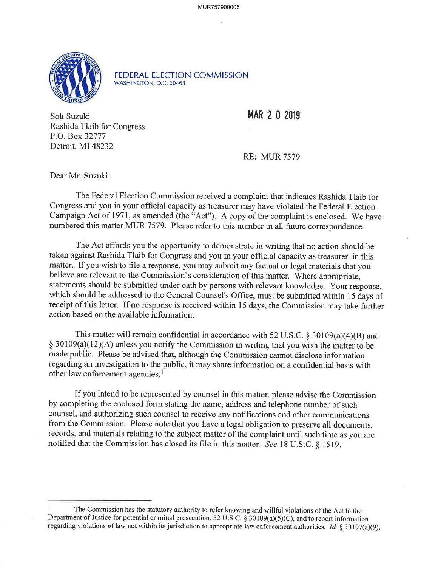MUR757900005



FEDERAL ELECTION COMMISSION WASHINGTON, O.C. 20463

Soh Suzuki **MAR 2 0 2019**  Rashida Tlaib for Congress P.O. Box 32777 Detroit, MI 48232

RE: MUR 7579

Dear Mr. Suzuki:

The Federal Election Commission received a complaint that indicates Rashida Tlaib for Congress and you in your official capacity as treasurer may have violated the Federal Election Campaign Act of 1971, as amended (the "Act"). A copy of the complaint is enclosed. We have numbered this matter MUR 7579. Please refer to this number in all future correspondence.

The Act affords you the opportunity to demonstrate in writing that no action should be taken against Rashida Tlaib for Congress and you in your official capacity as treasurer. in this matter. If you wish to file a response, you may submit any factual or legal materials that you believe are relevant to the Commission's consideration of this matter. Where appropriate, statements should be submitted under oath by persons with relevant knowledge. Your response, which should be addressed to the General Counsel's Office, must be submitted within 15 days of receipt of this letter. If no response is received within 15 days, the Commission may take further action based on the available information.

This matter will remain confidential in accordance with 52 U.S.C. § 30109(a)(4)(B) and § 30109(a)(12)(A) unless you notify the Commission in writing that you wish the matter to be made public. Please be advised that, although the Commission cannot disclose information regarding an investigation to the public, it may share information on a confidential basis with other law enforcement agencies.<sup>1</sup>

If you intend to be represented by counsel in this matter, please advise the Commission by completing the enclosed form stating the name, address and telephone number of such counsel, and authorizing such counsel to receive any notifications and other communications from the Commission. Please note that you have a legal obligation to preserve all documents, records, and materials relating to the subject matter of the complaint until such time as you are notified that the Commission has closed its file in this matter. *See* 18 U.S.C. § 1519.

The Commission has the statutory authority to refer knowing and willful violations ofthe Act to the Department of Justice for potential criminal prosecution, 52 U.S.C. § 30109(a)(5)(C), and to report information regarding violations of law not within its jurisdiction to appropriate law enforcement authorities. *Id.* § 30107(a)(9).